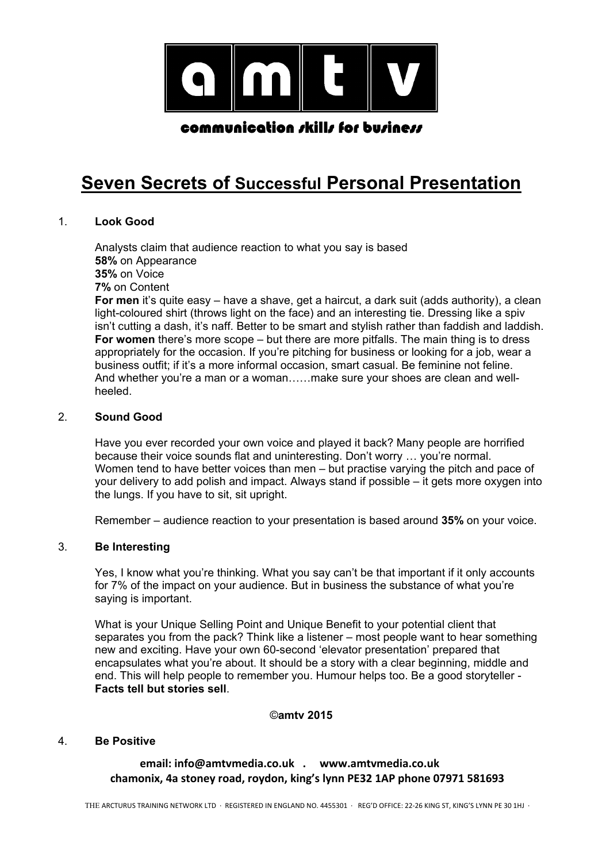

# **Seven Secrets of Successful Personal Presentation**

# 1. **Look Good**

Analysts claim that audience reaction to what you say is based **58%** on Appearance **35%** on Voice **7%** on Content For men it's quite easy – have a shave, get a haircut, a dark suit (adds authority), a clean light-coloured shirt (throws light on the face) and an interesting tie. Dressing like a spiv isn't cutting a dash, it's naff. Better to be smart and stylish rather than faddish and laddish. **For women** there's more scope – but there are more pitfalls. The main thing is to dress appropriately for the occasion. If you're pitching for business or looking for a job, wear a business outfit; if it's a more informal occasion, smart casual. Be feminine not feline. And whether you're a man or a woman......make sure your shoes are clean and wellheeled.

#### 2. **Sound Good**

Have you ever recorded your own voice and played it back? Many people are horrified because their voice sounds flat and uninteresting. Don't worry … you're normal. Women tend to have better voices than men – but practise varying the pitch and pace of your delivery to add polish and impact. Always stand if possible – it gets more oxygen into the lungs. If you have to sit, sit upright.

Remember – audience reaction to your presentation is based around **35%** on your voice.

### 3. **Be Interesting**

Yes, I know what you're thinking. What you say can't be that important if it only accounts for 7% of the impact on your audience. But in business the substance of what you're saying is important.

What is your Unique Selling Point and Unique Benefit to your potential client that separates you from the pack? Think like a listener – most people want to hear something new and exciting. Have your own 60-second 'elevator presentation' prepared that encapsulates what you're about. It should be a story with a clear beginning, middle and end. This will help people to remember you. Humour helps too. Be a good storyteller - **Facts tell but stories sell**.

#### ©**amtv 2015**

#### 4. **Be Positive**

 **email: info@amtvmedia.co.uk . www.amtvmedia.co.uk chamonix, 4a stoney road, roydon, king's lynn PE32 1AP phone 07971 581693**